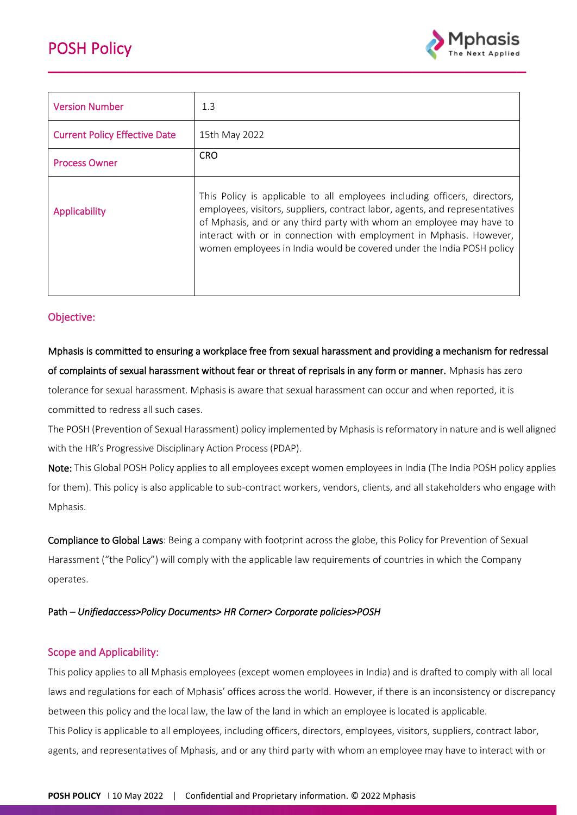

| <b>Version Number</b>                | 1.3                                                                                                                                                                                                                                                                                                                                                                              |  |  |
|--------------------------------------|----------------------------------------------------------------------------------------------------------------------------------------------------------------------------------------------------------------------------------------------------------------------------------------------------------------------------------------------------------------------------------|--|--|
| <b>Current Policy Effective Date</b> | 15th May 2022                                                                                                                                                                                                                                                                                                                                                                    |  |  |
| <b>Process Owner</b>                 | <b>CRO</b>                                                                                                                                                                                                                                                                                                                                                                       |  |  |
| Applicability                        | This Policy is applicable to all employees including officers, directors,<br>employees, visitors, suppliers, contract labor, agents, and representatives<br>of Mphasis, and or any third party with whom an employee may have to<br>interact with or in connection with employment in Mphasis. However,<br>women employees in India would be covered under the India POSH policy |  |  |

## Objective:

# Mphasis is committed to ensuring a workplace free from sexual harassment and providing a mechanism for redressal of complaints of sexual harassment without fear or threat of reprisals in any form or manner. Mphasis has zero tolerance for sexual harassment. Mphasis is aware that sexual harassment can occur and when reported, it is

committed to redress all such cases.

The POSH (Prevention of Sexual Harassment) policy implemented by Mphasis is reformatory in nature and is well aligned with the HR's Progressive Disciplinary Action Process (PDAP).

Note: This Global POSH Policy applies to all employees except women employees in India (The India POSH policy applies for them). This policy is also applicable to sub-contract workers, vendors, clients, and all stakeholders who engage with Mphasis.

Compliance to Global Laws: Being a company with footprint across the globe, this Policy for Prevention of Sexual Harassment ("the Policy") will comply with the applicable law requirements of countries in which the Company operates.

### Path – *Unifiedaccess>Policy Documents> HR Corner> Corporate policies>POSH*

## Scope and Applicability:

This policy applies to all Mphasis employees (except women employees in India) and is drafted to comply with all local laws and regulations for each of Mphasis' offices across the world. However, if there is an inconsistency or discrepancy between this policy and the local law, the law of the land in which an employee is located is applicable. This Policy is applicable to all employees, including officers, directors, employees, visitors, suppliers, contract labor, agents, and representatives of Mphasis, and or any third party with whom an employee may have to interact with or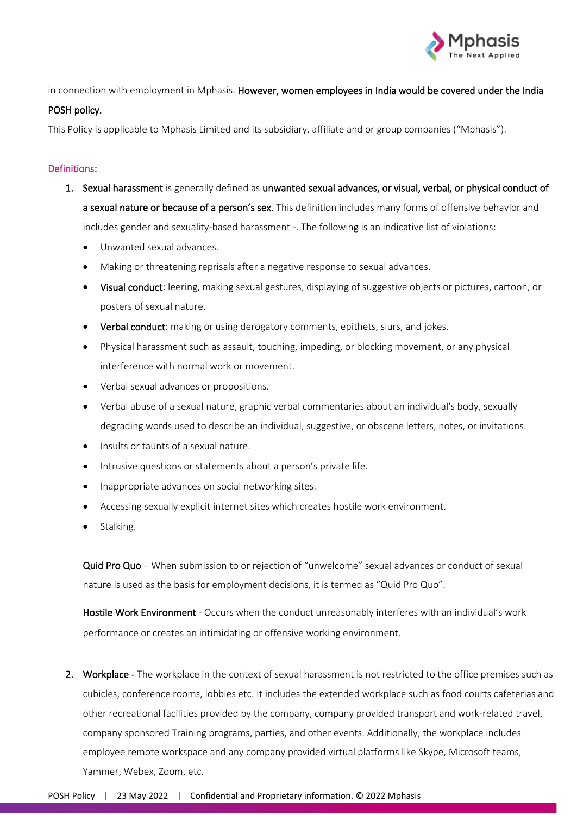

in connection with employment in Mphasis. However, women employees in India would be covered under the India

#### POSH policy.

This Policy is applicable to Mphasis Limited and its subsidiary, affiliate and or group companies ("Mphasis").

#### Definitions:

- 1. Sexual harassment is generally defined as unwanted sexual advances, or visual, verbal, or physical conduct of a sexual nature or because of a person's sex. This definition includes many forms of offensive behavior and includes gender and sexuality-based harassment -. The following is an indicative list of violations:
	- Unwanted sexual advances.
	- Making or threatening reprisals after a negative response to sexual advances.
	- Visual conduct: leering, making sexual gestures, displaying of suggestive objects or pictures, cartoon, or posters of sexual nature.
	- Verbal conduct: making or using derogatory comments, epithets, slurs, and jokes.
	- Physical harassment such as assault, touching, impeding, or blocking movement, or any physical interference with normal work or movement.
	- Verbal sexual advances or propositions.
	- Verbal abuse of a sexual nature, graphic verbal commentaries about an individual's body, sexually degrading words used to describe an individual, suggestive, or obscene letters, notes, or invitations.
	- Insults or taunts of a sexual nature.
	- Intrusive questions or statements about a person's private life.
	- Inappropriate advances on social networking sites.
	- Accessing sexually explicit internet sites which creates hostile work environment.
	- Stalking.

Quid Pro Quo - When submission to or rejection of "unwelcome" sexual advances or conduct of sexual nature is used as the basis for employment decisions, it is termed as "Quid Pro Quo".

Hostile Work Environment - Occurs when the conduct unreasonably interferes with an individual's work performance or creates an intimidating or offensive working environment.

2. Workplace - The workplace in the context of sexual harassment is not restricted to the office premises such as cubicles, conference rooms, lobbies etc. It includes the extended workplace such as food courts cafeterias and other recreational facilities provided by the company, company provided transport and work-related travel, company sponsored Training programs, parties, and other events. Additionally, the workplace includes employee remote workspace and any company provided virtual platforms like Skype, Microsoft teams, Yammer, Webex, Zoom, etc.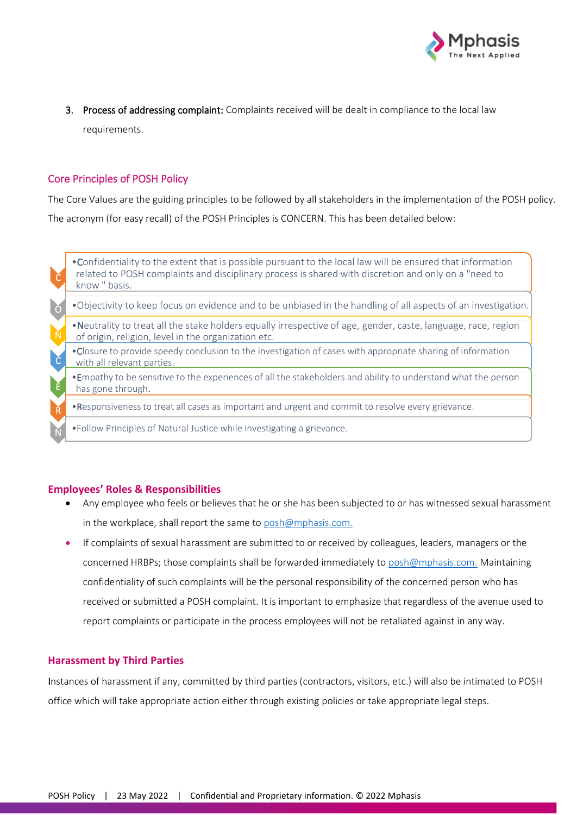

3. Process of addressing complaint: Complaints received will be dealt in compliance to the local law requirements.

## Core Principles of POSH Policy

The Core Values are the guiding principles to be followed by all stakeholders in the implementation of the POSH policy. The acronym (for easy recall) of the POSH Principles is CONCERN. This has been detailed below:

|            | • Confidentiality to the extent that is possible pursuant to the local law will be ensured that information<br>related to POSH complaints and disciplinary process is shared with discretion and only on a "need to<br>know " basis. |
|------------|--------------------------------------------------------------------------------------------------------------------------------------------------------------------------------------------------------------------------------------|
| $\sqrt{2}$ | . Objectivity to keep focus on evidence and to be unbiased in the handling of all aspects of an investigation.                                                                                                                       |
|            | . Neutrality to treat all the stake holders equally irrespective of age, gender, caste, language, race, region<br>of origin, religion, level in the organization etc.                                                                |
| $\epsilon$ | •Closure to provide speedy conclusion to the investigation of cases with appropriate sharing of information<br>with all relevant parties.                                                                                            |
| Ě          | . Empathy to be sensitive to the experiences of all the stakeholders and ability to understand what the person<br>has gone through.                                                                                                  |
|            | . Responsiveness to treat all cases as important and urgent and commit to resolve every grievance.                                                                                                                                   |
|            | . Follow Principles of Natural Justice while investigating a grievance.                                                                                                                                                              |

#### **Employees' Roles & Responsibilities**

- Any employee who feels or believes that he or she has been subjected to or has witnessed sexual harassment in the workplace, shall report the same to [posh@mphasis.com.](mailto:posh@mphasis.com)
- If complaints of sexual harassment are submitted to or received by colleagues, leaders, managers or the concerned HRBPs; those complaints shall be forwarded immediately to [posh@mphasis.com.](mailto:posh@mphasis.com) Maintaining confidentiality of such complaints will be the personal responsibility of the concerned person who has received or submitted a POSH complaint. It is important to emphasize that regardless of the avenue used to report complaints or participate in the process employees will not be retaliated against in any way.

#### **Harassment by Third Parties**

Instances of harassment if any, committed by third parties (contractors, visitors, etc.) will also be intimated to POSH office which will take appropriate action either through existing policies or take appropriate legal steps.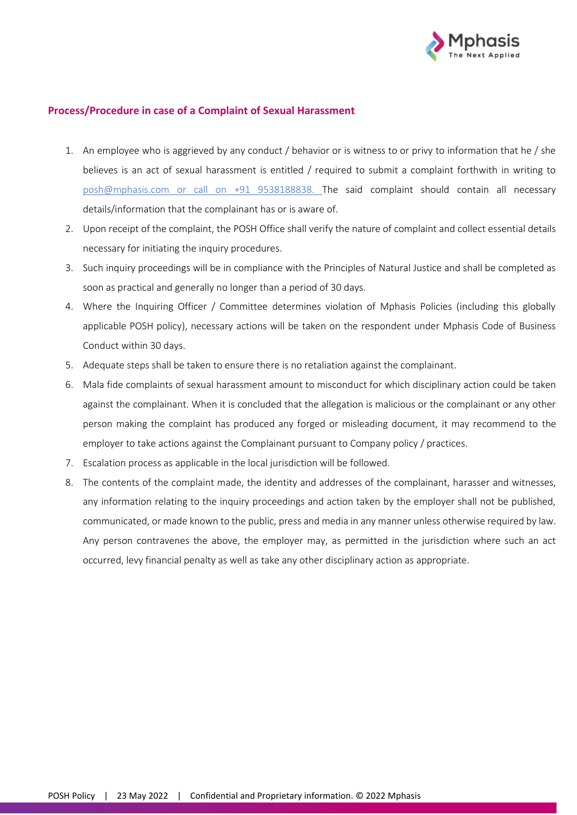

#### **Process/Procedure in case of a Complaint of Sexual Harassment**

- 1. An employee who is aggrieved by any conduct / behavior or is witness to or privy to information that he / she believes is an act of sexual harassment is entitled / required to submit a complaint forthwith in writing to [posh@mphasis.com](mailto:posh@mphasis.com) or call on +91 9538188838. The said complaint should contain all necessary details/information that the complainant has or is aware of.
- 2. Upon receipt of the complaint, the POSH Office shall verify the nature of complaint and collect essential details necessary for initiating the inquiry procedures.
- 3. Such inquiry proceedings will be in compliance with the Principles of Natural Justice and shall be completed as soon as practical and generally no longer than a period of 30 days.
- 4. Where the Inquiring Officer / Committee determines violation of Mphasis Policies (including this globally applicable POSH policy), necessary actions will be taken on the respondent under Mphasis Code of Business Conduct within 30 days.
- 5. Adequate steps shall be taken to ensure there is no retaliation against the complainant.
- 6. Mala fide complaints of sexual harassment amount to misconduct for which disciplinary action could be taken against the complainant. When it is concluded that the allegation is malicious or the complainant or any other person making the complaint has produced any forged or misleading document, it may recommend to the employer to take actions against the Complainant pursuant to Company policy / practices.
- 7. Escalation process as applicable in the local jurisdiction will be followed.
- 8. The contents of the complaint made, the identity and addresses of the complainant, harasser and witnesses, any information relating to the inquiry proceedings and action taken by the employer shall not be published, communicated, or made known to the public, press and media in any manner unless otherwise required by law. Any person contravenes the above, the employer may, as permitted in the jurisdiction where such an act occurred, levy financial penalty as well as take any other disciplinary action as appropriate.